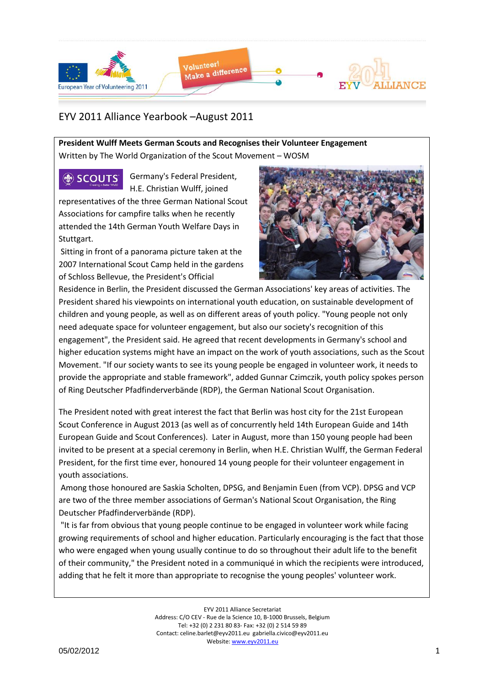

## EYV 2011 Alliance Yearbook –August 2011

**President Wulff Meets German Scouts and Recognises their Volunteer Engagement** Written by The World Organization of the Scout Movement – WOSM

**OR SCOUTS** 

Germany's Federal President, H.E. Christian Wulff, joined

representatives of the three German National Scout Associations for campfire talks when he recently attended the 14th German Youth Welfare Days in Stuttgart.

Sitting in front of a panorama picture taken at the 2007 International Scout Camp held in the gardens of Schloss Bellevue, the President's Official



Residence in Berlin, the President discussed the German Associations' key areas of activities. The President shared his viewpoints on international youth education, on sustainable development of children and young people, as well as on different areas of youth policy. "Young people not only need adequate space for volunteer engagement, but also our society's recognition of this engagement", the President said. He agreed that recent developments in Germany's school and higher education systems might have an impact on the work of youth associations, such as the Scout Movement. "If our society wants to see its young people be engaged in volunteer work, it needs to provide the appropriate and stable framework", added Gunnar Czimczik, youth policy spokes person of Ring Deutscher Pfadfinderverbände (RDP), the German National Scout Organisation.

The President noted with great interest the fact that Berlin was host city for the 21st European Scout Conference in August 2013 (as well as of concurrently held 14th European Guide and 14th European Guide and Scout Conferences). Later in August, more than 150 young people had been invited to be present at a special ceremony in Berlin, when H.E. Christian Wulff, the German Federal President, for the first time ever, honoured 14 young people for their volunteer engagement in youth associations.

Among those honoured are Saskia Scholten, DPSG, and Benjamin Euen (from VCP). DPSG and VCP are two of the three member associations of German's National Scout Organisation, the Ring Deutscher Pfadfinderverbände (RDP).

"It is far from obvious that young people continue to be engaged in volunteer work while facing growing requirements of school and higher education. Particularly encouraging is the fact that those who were engaged when young usually continue to do so throughout their adult life to the benefit of their community," the President noted in a communiqué in which the recipients were introduced, adding that he felt it more than appropriate to recognise the young peoples' volunteer work.

> EYV 2011 Alliance Secretariat Address: C/O CEV - Rue de la Science 10, B-1000 Brussels, Belgium Tel: +32 (0) 2 231 80 83- Fax: +32 (0) 2 514 59 89 Contact: celine.barlet@eyv2011.eu gabriella.civico@eyv2011.eu Website: www.eyv2011.eu